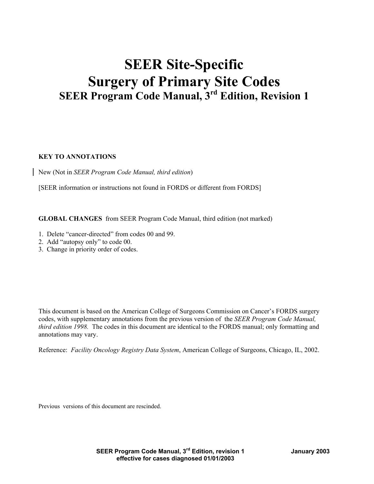# **SEER Site-Specific Surgery of Primary Site Codes SEER Program Code Manual, 3rd Edition, Revision 1**

## **KEY TO ANNOTATIONS**

New (Not in *SEER Program Code Manual, third edition*)

[SEER information or instructions not found in FORDS or different from FORDS]

**GLOBAL CHANGES** from SEER Program Code Manual, third edition (not marked)

- 1. Delete "cancer-directed" from codes 00 and 99.
- 2. Add "autopsy only" to code 00.
- 3. Change in priority order of codes.

This document is based on the American College of Surgeons Commission on Cancer's FORDS surgery codes, with supplementary annotations from the previous version of the *SEER Program Code Manual, third edition 1998.* The codes in this document are identical to the FORDS manual; only formatting and annotations may vary.

Reference: *Facility Oncology Registry Data System*, American College of Surgeons, Chicago, IL, 2002.

Previous versions of this document are rescinded.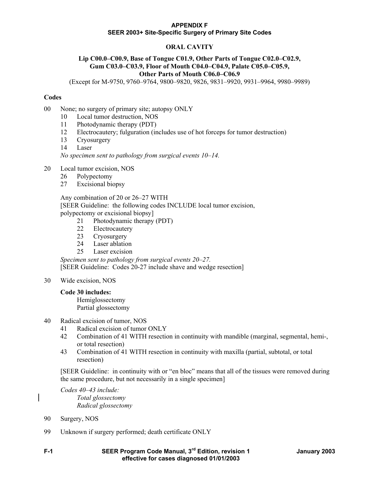# **ORAL CAVITY**

#### **Lip C00.0–C00.9, Base of Tongue C01.9, Other Parts of Tongue C02.0–C02.9, Gum C03.0–C03.9, Floor of Mouth C04.0–C04.9, Palate C05.0–C05.9, Other Parts of Mouth C06.0–C06.9**

(Except for M-9750, 9760–9764, 9800–9820, 9826, 9831–9920, 9931–9964, 9980–9989)

## **Codes**

- 00 None; no surgery of primary site; autopsy ONLY
	- 10 Local tumor destruction, NOS
	- 11 Photodynamic therapy (PDT)
	- 12 Electrocautery; fulguration (includes use of hot forceps for tumor destruction)
	- 13 Cryosurgery
	- 14 Laser

*No specimen sent to pathology from surgical events 10–14.* 

#### 20 Local tumor excision, NOS

- 26 Polypectomy
- 27 Excisional biopsy

#### Any combination of 20 or 26–27 WITH

 [SEER Guideline: the following codes INCLUDE local tumor excision, polypectomy or excisional biopsy]

- 21 Photodynamic therapy (PDT)
- 22 Electrocautery
- 23 Cryosurgery
- 24 Laser ablation
- 25 Laser excision

*Specimen sent to pathology from surgical events 20–27.*  [SEER Guideline: Codes 20-27 include shave and wedge resection]

#### 30 Wide excision, NOS

#### **Code 30 includes:**

 Hemiglossectomy Partial glossectomy

## 40 Radical excision of tumor, NOS

- 41 Radical excision of tumor ONLY
- 42 Combination of 41 WITH resection in continuity with mandible (marginal, segmental, hemi-, or total resection)
- 43 Combination of 41 WITH resection in continuity with maxilla (partial, subtotal, or total resection)

 [SEER Guideline: in continuity with or "en bloc" means that all of the tissues were removed during the same procedure, but not necessarily in a single specimen]

*Codes 40–43 include: Total glossectomy Radical glossectomy* 

- 90 Surgery, NOS
- 99 Unknown if surgery performed; death certificate ONLY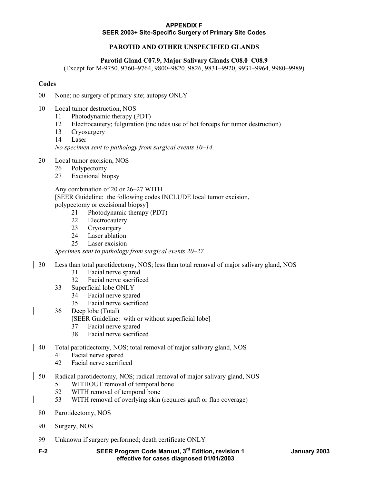# **PAROTID AND OTHER UNSPECIFIED GLANDS**

#### **Parotid Gland C07.9, Major Salivary Glands C08.0–C08.9**

(Except for M-9750, 9760–9764, 9800–9820, 9826, 9831–9920, 9931–9964, 9980–9989)

#### **Codes**

- 00 None; no surgery of primary site; autopsy ONLY
- 10 Local tumor destruction, NOS
	- 11 Photodynamic therapy (PDT)
	- 12 Electrocautery; fulguration (includes use of hot forceps for tumor destruction)
	- 13 Cryosurgery
	- 14 Laser

*No specimen sent to pathology from surgical events 10–14.* 

- 20 Local tumor excision, NOS
	- 26 Polypectomy
	- 27 Excisional biopsy

 Any combination of 20 or 26–27 WITH [SEER Guideline: the following codes INCLUDE local tumor excision,

polypectomy or excisional biopsy]

- 21 Photodynamic therapy (PDT)
- 22 Electrocautery
- 23 Cryosurgery<br>24 Laser ablatio
- Laser ablation
- 25 Laser excision

*Specimen sent to pathology from surgical events 20–27.* 

- 30 Less than total parotidectomy, NOS; less than total removal of major salivary gland, NOS
	- 31 Facial nerve spared
	- 32 Facial nerve sacrificed
	- 33 Superficial lobe ONLY
		- 34 Facial nerve spared
		- 35 Facial nerve sacrificed
	- 36 Deep lobe (Total)

[SEER Guideline: with or without superficial lobe]

- 37 Facial nerve spared
- 38 Facial nerve sacrificed
- 40 Total parotidectomy, NOS; total removal of major salivary gland, NOS
	- 41 Facial nerve spared
	- 42 Facial nerve sacrificed
- 50 Radical parotidectomy, NOS; radical removal of major salivary gland, NOS
	- 51 WITHOUT removal of temporal bone
	- 52 WITH removal of temporal bone
	- 53 WITH removal of overlying skin (requires graft or flap coverage)
	- 80 Parotidectomy, NOS
	- 90 Surgery, NOS
	- 99 Unknown if surgery performed; death certificate ONLY
	- **F-2 SEER Program Code Manual, 3rd Edition, revision 1 January 2003 effective for cases diagnosed 01/01/2003**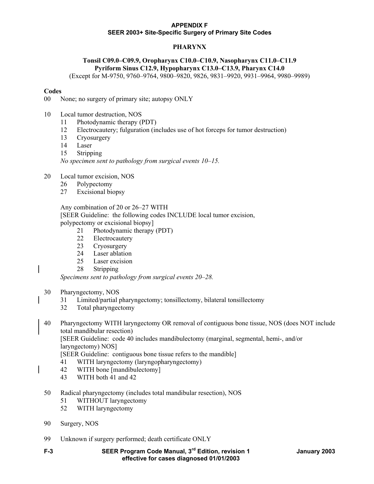# **PHARYNX**

# **Tonsil C09.0–C09.9, Oropharynx C10.0–C10.9, Nasopharynx C11.0–C11.9 Pyriform Sinus C12.9, Hypopharynx C13.0–C13.9, Pharynx C14.0**

(Except for M-9750, 9760–9764, 9800–9820, 9826, 9831–9920, 9931–9964, 9980–9989)

## **Codes**

00 None; no surgery of primary site; autopsy ONLY

- 10 Local tumor destruction, NOS
	- 11 Photodynamic therapy (PDT)
	- 12 Electrocautery; fulguration (includes use of hot forceps for tumor destruction)
	- 13 Cryosurgery
	- 14 Laser
	- 15 Stripping

*No specimen sent to pathology from surgical events 10–15.* 

- 20 Local tumor excision, NOS
	- 26 Polypectomy
	- 27 Excisional biopsy

Any combination of 20 or 26–27 WITH

[SEER Guideline: the following codes INCLUDE local tumor excision,

- polypectomy or excisional biopsy]
	- 21 Photodynamic therapy (PDT)
	- 22 Electrocautery
	- 23 Cryosurgery
	- 24 Laser ablation
	- 25 Laser excision
	- 28 Stripping

*Specimens sent to pathology from surgical events 20–28.* 

## 30 Pharyngectomy, NOS

- 31 Limited/partial pharyngectomy; tonsillectomy, bilateral tonsillectomy
- 32 Total pharyngectomy
- 40 Pharyngectomy WITH laryngectomy OR removal of contiguous bone tissue, NOS (does NOT include total mandibular resection)

 [SEER Guideline: code 40 includes mandibulectomy (marginal, segmental, hemi-, and/or laryngectomy) NOS]

[SEER Guideline: contiguous bone tissue refers to the mandible]

- 41 WITH laryngectomy (laryngopharyngectomy)
- 42 WITH bone [mandibulectomy]
- 43 WITH both 41 and 42
- 50 Radical pharyngectomy (includes total mandibular resection), NOS
	- 51 WITHOUT laryngectomy
	- 52 WITH laryngectomy
- 90 Surgery, NOS
- 99 Unknown if surgery performed; death certificate ONLY
-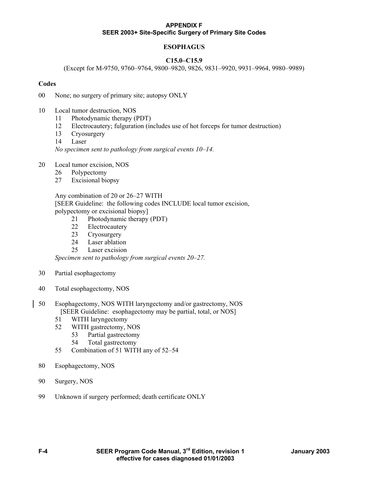# **ESOPHAGUS**

## **C15.0–C15.9**

(Except for M-9750, 9760–9764, 9800–9820, 9826, 9831–9920, 9931–9964, 9980–9989)

#### **Codes**

00 None; no surgery of primary site; autopsy ONLY

- 10 Local tumor destruction, NOS
	- 11 Photodynamic therapy (PDT)
	- 12 Electrocautery; fulguration (includes use of hot forceps for tumor destruction)
	- 13 Cryosurgery
	- 14 Laser

*No specimen sent to pathology from surgical events 10–14.* 

- 20 Local tumor excision, NOS
	- 26 Polypectomy
	- 27 Excisional biopsy

 Any combination of 20 or 26–27 WITH [SEER Guideline: the following codes INCLUDE local tumor excision, polypectomy or excisional biopsy]

- 21 Photodynamic therapy (PDT)
- 22 Electrocautery
- 23 Cryosurgery
- 24 Laser ablation
- 25 Laser excision

*Specimen sent to pathology from surgical events 20–27.* 

- 30 Partial esophagectomy
- 40 Total esophagectomy, NOS
- 50 Esophagectomy, NOS WITH laryngectomy and/or gastrectomy, NOS [SEER Guideline: esophagectomy may be partial, total, or NOS]
	- 51 WITH laryngectomy
	- 52 WITH gastrectomy, NOS
		- 53 Partial gastrectomy
		- 54 Total gastrectomy
	- 55 Combination of 51 WITH any of 52–54
- 80 Esophagectomy, NOS
- 90 Surgery, NOS
- 99 Unknown if surgery performed; death certificate ONLY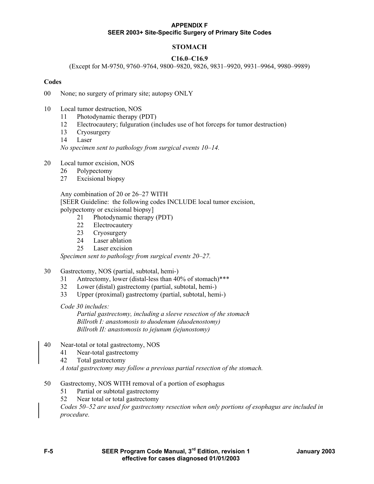# **STOMACH**

## **C16.0–C16.9**

(Except for M-9750, 9760–9764, 9800–9820, 9826, 9831–9920, 9931–9964, 9980–9989)

#### **Codes**

00 None; no surgery of primary site; autopsy ONLY

- 10 Local tumor destruction, NOS
	- 11 Photodynamic therapy (PDT)
	- 12 Electrocautery; fulguration (includes use of hot forceps for tumor destruction)
	- 13 Cryosurgery
	- 14 Laser

*No specimen sent to pathology from surgical events 10–14.* 

- 20 Local tumor excision, NOS
	- 26 Polypectomy
	- 27 Excisional biopsy

 Any combination of 20 or 26–27 WITH [SEER Guideline: the following codes INCLUDE local tumor excision, polypectomy or excisional biopsy]

- 21 Photodynamic therapy (PDT)
- 22 Electrocautery
- 23 Cryosurgery
- 24 Laser ablation
- 25 Laser excision

*Specimen sent to pathology from surgical events 20–27.* 

- 30 Gastrectomy, NOS (partial, subtotal, hemi-)
	- 31 Antrectomy, lower (distal-less than 40% of stomach)\*\*\*
	- 32 Lower (distal) gastrectomy (partial, subtotal, hemi-)
	- 33 Upper (proximal) gastrectomy (partial, subtotal, hemi-)

*Code 30 includes:* 

 *Partial gastrectomy, including a sleeve resection of the stomach Billroth I: anastomosis to duodenum (duodenostomy) Billroth II: anastomosis to jejunum (jejunostomy)* 

- 40 Near-total or total gastrectomy, NOS
	- 41 Near-total gastrectomy
	- 42 Total gastrectomy

*A total gastrectomy may follow a previous partial resection of the stomach.* 

- 50 Gastrectomy, NOS WITH removal of a portion of esophagus
	- 51 Partial or subtotal gastrectomy
	- 52 Near total or total gastrectomy

*Codes 50–52 are used for gastrectomy resection when only portions of esophagus are included in procedure.* 

**F-5 SEER Program Code Manual, 3rd Edition, revision 1 January 2003 effective for cases diagnosed 01/01/2003**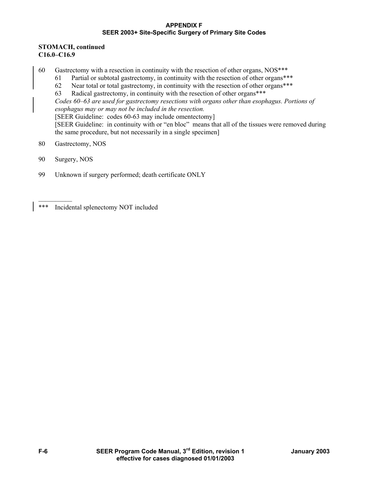## **STOMACH, continued C16.0–C16.9**

- 60 Gastrectomy with a resection in continuity with the resection of other organs, NOS\*\*\*
	- 61 Partial or subtotal gastrectomy, in continuity with the resection of other organs\*\*\*
		- 62 Near total or total gastrectomy, in continuity with the resection of other organs\*\*\*
		- 63 Radical gastrectomy, in continuity with the resection of other organs\*\*\*

*Codes 60–63 are used for gastrectomy resections with organs other than esophagus. Portions of esophagus may or may not be included in the resection.* 

[SEER Guideline: codes 60-63 may include omentectomy]

 [SEER Guideline: in continuity with or "en bloc" means that all of the tissues were removed during the same procedure, but not necessarily in a single specimen]

- 80 Gastrectomy, NOS
- 90 Surgery, NOS
- 99 Unknown if surgery performed; death certificate ONLY

<sup>\*\*\*</sup> Incidental splenectomy NOT included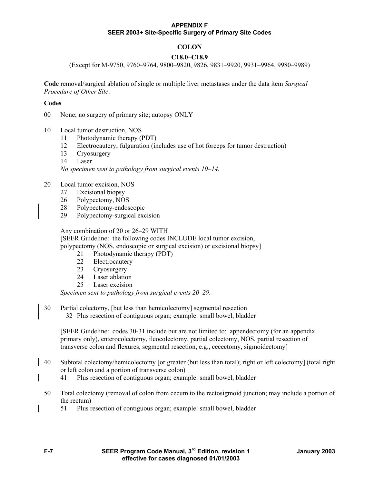# **COLON**

## **C18.0–C18.9**

(Except for M-9750, 9760–9764, 9800–9820, 9826, 9831–9920, 9931–9964, 9980–9989)

**Code** removal/surgical ablation of single or multiple liver metastases under the data item *Surgical Procedure of Other Site*.

#### **Codes**

00 None; no surgery of primary site; autopsy ONLY

- 10 Local tumor destruction, NOS
	- 11 Photodynamic therapy (PDT)
	- 12 Electrocautery; fulguration (includes use of hot forceps for tumor destruction)
	- 13 Cryosurgery
	- 14 Laser

*No specimen sent to pathology from surgical events 10–14.* 

#### 20 Local tumor excision, NOS

- 27 Excisional biopsy
- 26 Polypectomy, NOS
- 28 Polypectomy-endoscopic
- 29 Polypectomy-surgical excision

 Any combination of 20 or 26–29 WITH [SEER Guideline: the following codes INCLUDE local tumor excision, polypectomy (NOS, endoscopic or surgical excision) or excisional biopsy]

- 21 Photodynamic therapy (PDT)
- 22 Electrocautery
- 23 Cryosurgery
- 24 Laser ablation
- 25 Laser excision

*Specimen sent to pathology from surgical events 20–29.* 

30 Partial colectomy, [but less than hemicolectomy] segmental resection 32 Plus resection of contiguous organ; example: small bowel, bladder

[SEER Guideline: codes 30-31 include but are not limited to: appendectomy (for an appendix primary only), enterocolectomy, ileocolectomy, partial colectomy, NOS, partial resection of transverse colon and flexures, segmental resection, e.g., cecectomy, sigmoidectomy]

- 40 Subtotal colectomy/hemicolectomy [or greater (but less than total); right or left colectomy] (total right or left colon and a portion of transverse colon)
	- 41 Plus resection of contiguous organ; example: small bowel, bladder
- 50 Total colectomy (removal of colon from cecum to the rectosigmoid junction; may include a portion of the rectum)
	- 51 Plus resection of contiguous organ; example: small bowel, bladder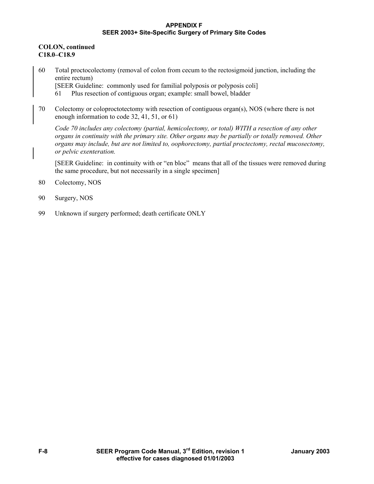## **COLON, continued C18.0–C18.9**

- 60 Total proctocolectomy (removal of colon from cecum to the rectosigmoid junction, including the entire rectum) [SEER Guideline: commonly used for familial polyposis or polyposis coli] 61 Plus resection of contiguous organ; example: small bowel, bladder
- 70 Colectomy or coloproctotectomy with resection of contiguous organ(s), NOS (where there is not enough information to code 32, 41, 51, or 61)

*Code 70 includes any colectomy (partial, hemicolectomy, or total) WITH a resection of any other organs in continuity with the primary site. Other organs may be partially or totally removed. Other organs may include, but are not limited to, oophorectomy, partial proctectomy, rectal mucosectomy, or pelvic exenteration.* 

[SEER Guideline: in continuity with or "en bloc" means that all of the tissues were removed during the same procedure, but not necessarily in a single specimen]

- 80 Colectomy, NOS
- 90 Surgery, NOS
- 99 Unknown if surgery performed; death certificate ONLY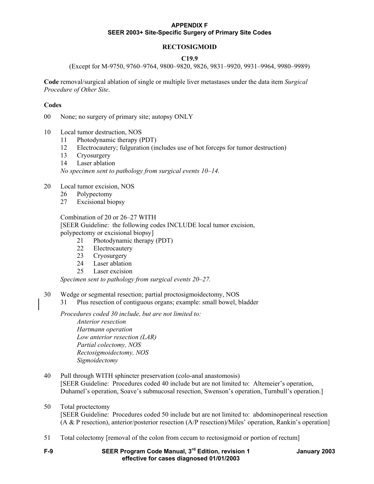## **RECTOSIGMOID**

#### **C19.9**

(Except for M-9750, 9760–9764, 9800–9820, 9826, 9831–9920, 9931–9964, 9980–9989)

**Code** removal/surgical ablation of single or multiple liver metastases under the data item *Surgical Procedure of Other Site*.

#### **Codes**

00 None; no surgery of primary site; autopsy ONLY

- 10 Local tumor destruction, NOS
	- 11 Photodynamic therapy (PDT)
	- 12 Electrocautery; fulguration (includes use of hot forceps for tumor destruction)
	- 13 Cryosurgery
	- 14 Laser ablation

*No specimen sent to pathology from surgical events 10–14.* 

- 20 Local tumor excision, NOS
	- 26 Polypectomy
	- 27 Excisional biopsy

#### Combination of 20 or 26–27 WITH

[SEER Guideline: the following codes INCLUDE local tumor excision, polypectomy or excisional biopsy]

- 21 Photodynamic therapy (PDT)
- 22 Electrocautery
- 23 Cryosurgery
- 24 Laser ablation
- 25 Laser excision

*Specimen sent to pathology from surgical events 20–27.* 

- 30 Wedge or segmental resection; partial proctosigmoidectomy, NOS
	- 31 Plus resection of contiguous organs; example: small bowel, bladder

*Procedures coded 30 include, but are not limited to:* 

 *Anterior resection Hartmann operation Low anterior resection (LAR) Partial colectomy, NOS Rectosigmoidectomy, NOS Sigmoidectomy* 

- 40 Pull through WITH sphincter preservation (colo-anal anastomosis) [SEER Guideline: Procedures coded 40 include but are not limited to: Altemeier's operation, Duhamel's operation, Soave's submucosal resection, Swenson's operation, Turnbull's operation.]
- 50 Total proctectomy

 [SEER Guideline: Procedures coded 50 include but are not limited to: abdominoperineal resection (A & P resection), anterior/posterior resection (A/P resection)/Miles' operation, Rankin's operation]

- 51 Total colectomy [removal of the colon from cecum to rectosigmoid or portion of rectum]
-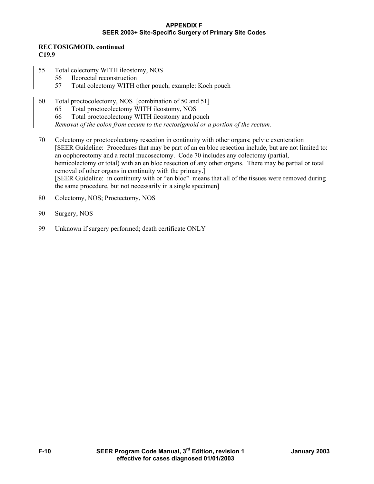## **RECTOSIGMOID, continued C19.9**

- 55 Total colectomy WITH ileostomy, NOS
	- 56 Ileorectal reconstruction
	- 57 Total colectomy WITH other pouch; example: Koch pouch
- 60 Total proctocolectomy, NOS [combination of 50 and 51]
	- 65 Total proctocolectomy WITH ileostomy, NOS
	- 66 Total proctocolectomy WITH ileostomy and pouch

*Removal of the colon from cecum to the rectosigmoid or a portion of the rectum.* 

- 70 Colectomy or proctocolectomy resection in continuity with other organs; pelvic exenteration [SEER Guideline: Procedures that may be part of an en bloc resection include, but are not limited to: an oophorectomy and a rectal mucosectomy. Code 70 includes any colectomy (partial, hemicolectomy or total) with an en bloc resection of any other organs. There may be partial or total removal of other organs in continuity with the primary.] [SEER Guideline: in continuity with or "en bloc" means that all of the tissues were removed during the same procedure, but not necessarily in a single specimen]
- 80 Colectomy, NOS; Proctectomy, NOS
- 90 Surgery, NOS
- 99 Unknown if surgery performed; death certificate ONLY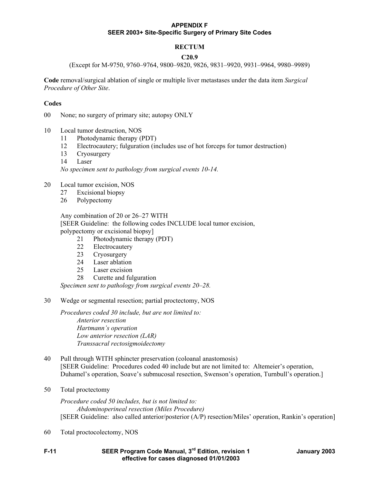## **RECTUM**

#### **C20.9**

(Except for M-9750, 9760–9764, 9800–9820, 9826, 9831–9920, 9931–9964, 9980–9989)

**Code** removal/surgical ablation of single or multiple liver metastases under the data item *Surgical Procedure of Other Site*.

#### **Codes**

00 None; no surgery of primary site; autopsy ONLY

- 10 Local tumor destruction, NOS
	- 11 Photodynamic therapy (PDT)
	- 12 Electrocautery; fulguration (includes use of hot forceps for tumor destruction)
	- 13 Cryosurgery
	- 14 Laser

*No specimen sent to pathology from surgical events 10-14.* 

- 20 Local tumor excision, NOS
	- 27 Excisional biopsy
	- 26 Polypectomy

 Any combination of 20 or 26–27 WITH [SEER Guideline: the following codes INCLUDE local tumor excision, polypectomy or excisional biopsy]

- 21 Photodynamic therapy (PDT)
- 22 Electrocautery
- 23 Cryosurgery
- 24 Laser ablation
- 25 Laser excision
- 28 Curette and fulguration

*Specimen sent to pathology from surgical events 20–28.* 

30 Wedge or segmental resection; partial proctectomy, NOS

*Procedures coded 30 include, but are not limited to: Anterior resection Hartmann's operation Low anterior resection (LAR) Transsacral rectosigmoidectomy* 

- 40 Pull through WITH sphincter preservation (coloanal anastomosis) [SEER Guideline: Procedures coded 40 include but are not limited to: Altemeier's operation, Duhamel's operation, Soave's submucosal resection, Swenson's operation, Turnbull's operation.]
- 50 Total proctectomy

*Procedure coded 50 includes, but is not limited to: Abdominoperineal resection (Miles Procedure)*  [SEER Guideline: also called anterior/posterior (A/P) resection/Miles' operation, Rankin's operation]

60 Total proctocolectomy, NOS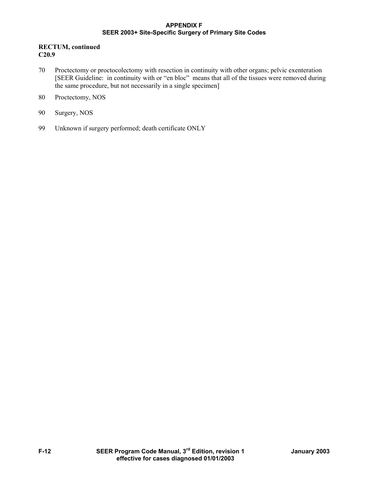## **RECTUM, continued C20.9**

- 70 Proctectomy or proctocolectomy with resection in continuity with other organs; pelvic exenteration [SEER Guideline: in continuity with or "en bloc" means that all of the tissues were removed during the same procedure, but not necessarily in a single specimen]
- 80 Proctectomy, NOS
- 90 Surgery, NOS
- 99 Unknown if surgery performed; death certificate ONLY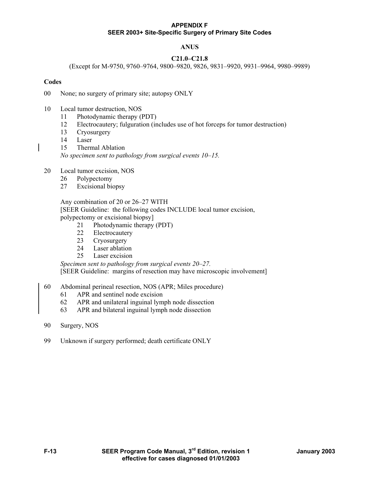# **ANUS**

## **C21.0–C21.8**

(Except for M-9750, 9760–9764, 9800–9820, 9826, 9831–9920, 9931–9964, 9980–9989)

#### **Codes**

00 None; no surgery of primary site; autopsy ONLY

- 10 Local tumor destruction, NOS
	- 11 Photodynamic therapy (PDT)
	- 12 Electrocautery; fulguration (includes use of hot forceps for tumor destruction)
	- 13 Cryosurgery
	- 14 Laser
	- 15 Thermal Ablation

*No specimen sent to pathology from surgical events 10–15.* 

- 20 Local tumor excision, NOS
	- 26 Polypectomy
	- 27 Excisional biopsy

 Any combination of 20 or 26–27 WITH [SEER Guideline: the following codes INCLUDE local tumor excision, polypectomy or excisional biopsy]

- 21 Photodynamic therapy (PDT)
- 22 Electrocautery
- 23 Cryosurgery
- 24 Laser ablation
- 25 Laser excision

*Specimen sent to pathology from surgical events 20–27.*  [SEER Guideline: margins of resection may have microscopic involvement]

#### 60 Abdominal perineal resection, NOS (APR; Miles procedure)

- 61 APR and sentinel node excision
- 62 APR and unilateral inguinal lymph node dissection
- 63 APR and bilateral inguinal lymph node dissection
- 90 Surgery, NOS
- 99 Unknown if surgery performed; death certificate ONLY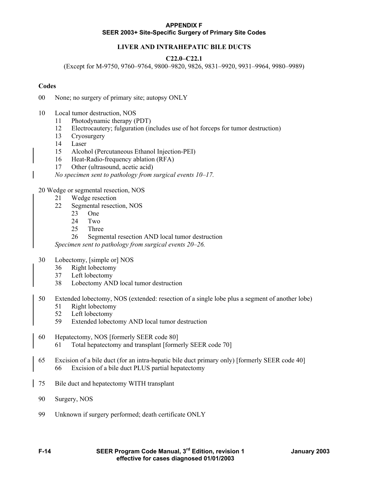# **LIVER AND INTRAHEPATIC BILE DUCTS**

## **C22.0–C22.1**

(Except for M-9750, 9760–9764, 9800–9820, 9826, 9831–9920, 9931–9964, 9980–9989)

## **Codes**

- 00 None; no surgery of primary site; autopsy ONLY
- 10 Local tumor destruction, NOS
	- 11 Photodynamic therapy (PDT)
	- 12 Electrocautery; fulguration (includes use of hot forceps for tumor destruction)
	- 13 Cryosurgery
	- 14 Laser
	- 15 Alcohol (Percutaneous Ethanol Injection-PEI)
	- 16 Heat-Radio-frequency ablation (RFA)
	- 17 Other (ultrasound, acetic acid)

*No specimen sent to pathology from surgical events 10–17.* 

#### 20 Wedge or segmental resection, NOS

- 21 Wedge resection
- 22 Segmental resection, NOS
	- 23 One
	- 24 Two
	- 25 Three
	- 26 Segmental resection AND local tumor destruction

*Specimen sent to pathology from surgical events 20–26.* 

- 30 Lobectomy, [simple or] NOS
	- 36 Right lobectomy
	- 37 Left lobectomy
	- 38 Lobectomy AND local tumor destruction
- 50 Extended lobectomy, NOS (extended: resection of a single lobe plus a segment of another lobe)
	- 51 Right lobectomy
	- 52 Left lobectomy
	- 59 Extended lobectomy AND local tumor destruction
- 60 Hepatectomy, NOS [formerly SEER code 80] 61 Total hepatectomy and transplant [formerly SEER code 70]
- 65 Excision of a bile duct (for an intra-hepatic bile duct primary only) [formerly SEER code 40] 66 Excision of a bile duct PLUS partial hepatectomy
- 75 Bile duct and hepatectomy WITH transplant
- 90 Surgery, NOS
- 99 Unknown if surgery performed; death certificate ONLY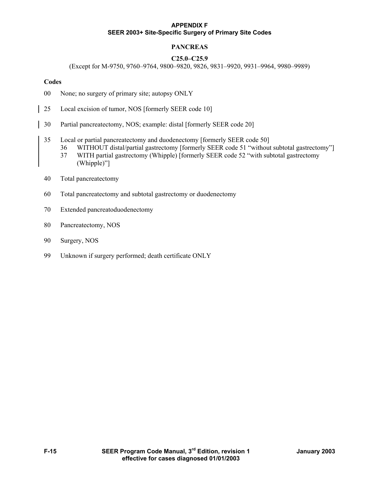# **PANCREAS**

## **C25.0–C25.9**

(Except for M-9750, 9760–9764, 9800–9820, 9826, 9831–9920, 9931–9964, 9980–9989)

#### **Codes**

- 00 None; no surgery of primary site; autopsy ONLY
- 25 Local excision of tumor, NOS [formerly SEER code 10]
- 30 Partial pancreatectomy, NOS; example: distal [formerly SEER code 20]
- 35 Local or partial pancreatectomy and duodenectomy [formerly SEER code 50]
	- 36 WITHOUT distal/partial gastrectomy [formerly SEER code 51 "without subtotal gastrectomy"]
		- 37 WITH partial gastrectomy (Whipple) [formerly SEER code 52 "with subtotal gastrectomy (Whipple)"]
- 40 Total pancreatectomy
- 60 Total pancreatectomy and subtotal gastrectomy or duodenectomy
- 70 Extended pancreatoduodenectomy
- 80 Pancreatectomy, NOS
- 90 Surgery, NOS
- 99 Unknown if surgery performed; death certificate ONLY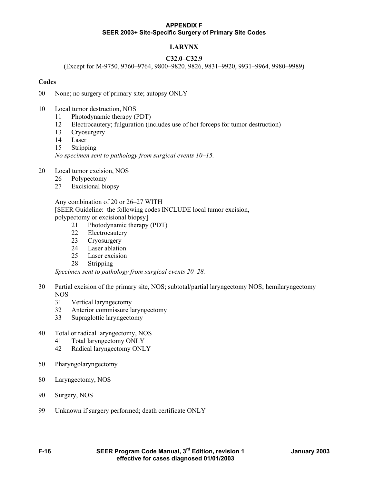# **LARYNX**

## **C32.0–C32.9**

(Except for M-9750, 9760–9764, 9800–9820, 9826, 9831–9920, 9931–9964, 9980–9989)

#### **Codes**

00 None; no surgery of primary site; autopsy ONLY

- 10 Local tumor destruction, NOS
	- 11 Photodynamic therapy (PDT)
	- 12 Electrocautery; fulguration (includes use of hot forceps for tumor destruction)
	- 13 Cryosurgery
	- 14 Laser
	- 15 Stripping

*No specimen sent to pathology from surgical events 10–15.* 

- 20 Local tumor excision, NOS
	- 26 Polypectomy
	- 27 Excisional biopsy

 Any combination of 20 or 26–27 WITH [SEER Guideline: the following codes INCLUDE local tumor excision, polypectomy or excisional biopsy]

- 21 Photodynamic therapy (PDT)
- 22 Electrocautery
- 23 Cryosurgery
- 24 Laser ablation
- 25 Laser excision
- 28 Stripping

*Specimen sent to pathology from surgical events 20–28.* 

- 30 Partial excision of the primary site, NOS; subtotal/partial laryngectomy NOS; hemilaryngectomy NOS
	- 31 Vertical laryngectomy
	- 32 Anterior commissure laryngectomy
	- 33 Supraglottic laryngectomy
- 40 Total or radical laryngectomy, NOS
	- 41 Total laryngectomy ONLY
	- 42 Radical laryngectomy ONLY
- 50 Pharyngolaryngectomy
- 80 Laryngectomy, NOS
- 90 Surgery, NOS
- 99 Unknown if surgery performed; death certificate ONLY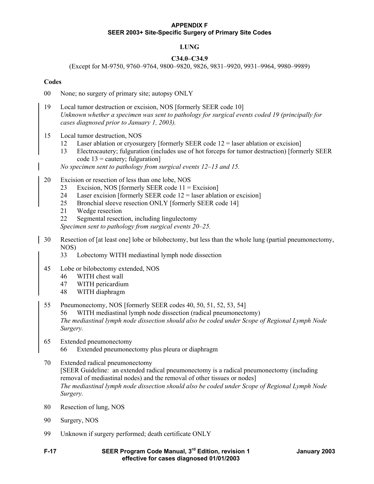## **LUNG**

## **C34.0–C34.9**

(Except for M-9750, 9760–9764, 9800–9820, 9826, 9831–9920, 9931–9964, 9980–9989)

#### **Codes**

- 00 None; no surgery of primary site; autopsy ONLY
- 19 Local tumor destruction or excision, NOS [formerly SEER code 10] *Unknown whether a specimen was sent to pathology for surgical events coded 19 (principally for cases diagnosed prior to January 1, 2003).*
- 15 Local tumor destruction, NOS
	- 12 Laser ablation or cryosurgery [formerly SEER code 12 = laser ablation or excision]
	- 13 Electrocautery; fulguration (includes use of hot forceps for tumor destruction) [formerly SEER code  $13$  = cautery; fulguration]

 *No specimen sent to pathology from surgical events 12–13 and 15.* 

- 20 Excision or resection of less than one lobe, NOS
	- 23 Excision, NOS [formerly SEER code 11 = Excision]
	- 24 Laser excision [formerly SEER code  $12$  = laser ablation or excision]
	- 25 Bronchial sleeve resection ONLY [formerly SEER code 14]
	- 21 Wedge resection
	- 22 Segmental resection, including lingulectomy

*Specimen sent to pathology from surgical events 20–25.* 

- 30 Resection of [at least one] lobe or bilobectomy, but less than the whole lung (partial pneumonectomy, NOS)
	- 33 Lobectomy WITH mediastinal lymph node dissection
- 45 Lobe or bilobectomy extended, NOS
	- 46 WITH chest wall
	- 47 WITH pericardium
	- 48 WITH diaphragm
- 55 Pneumonectomy, NOS [formerly SEER codes 40, 50, 51, 52, 53, 54] 56 WITH mediastinal lymph node dissection (radical pneumonectomy) *The mediastinal lymph node dissection should also be coded under Scope of Regional Lymph Node Surgery.*
- 65 Extended pneumonectomy 66 Extended pneumonectomy plus pleura or diaphragm
- 70 Extended radical pneumonectomy [SEER Guideline:an extended radical pneumonectomy is a radical pneumonectomy (including removal of mediastinal nodes) and the removal of other tissues or nodes] *The mediastinal lymph node dissection should also be coded under Scope of Regional Lymph Node Surgery.*
- 80 Resection of lung, NOS
- 90 Surgery, NOS
- 99 Unknown if surgery performed; death certificate ONLY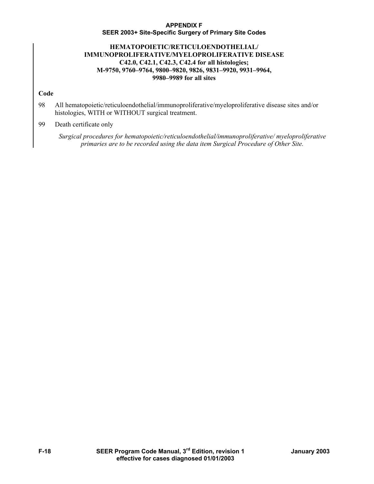# **HEMATOPOIETIC/RETICULOENDOTHELIAL/ IMMUNOPROLIFERATIVE/MYELOPROLIFERATIVE DISEASE C42.0, C42.1, C42.3, C42.4 for all histologies; M-9750, 9760–9764, 9800–9820, 9826, 9831–9920, 9931–9964, 9980–9989 for all sites**

## **Code**

98 All hematopoietic/reticuloendothelial/immunoproliferative/myeloproliferative disease sites and/or histologies, WITH or WITHOUT surgical treatment.

# 99 Death certificate only

*Surgical procedures for hematopoietic/reticuloendothelial/immunoproliferative/ myeloproliferative primaries are to be recorded using the data item Surgical Procedure of Other Site.*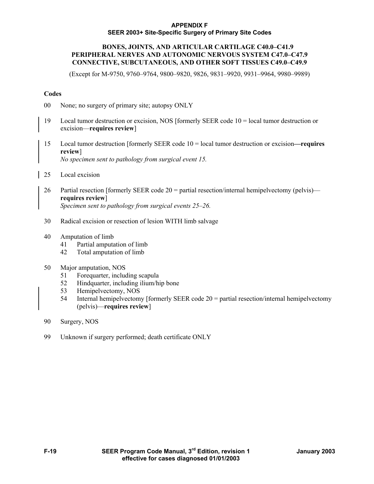## **BONES, JOINTS, AND ARTICULAR CARTILAGE C40.0–C41.9 PERIPHERAL NERVES AND AUTONOMIC NERVOUS SYSTEM C47.0–C47.9 CONNECTIVE, SUBCUTANEOUS, AND OTHER SOFT TISSUES C49.0–C49.9**

(Except for M-9750, 9760–9764, 9800–9820, 9826, 9831–9920, 9931–9964, 9980–9989)

## **Codes**

- 00 None; no surgery of primary site; autopsy ONLY
- 19 Local tumor destruction or excision, NOS [formerly SEER code 10 = local tumor destruction or excision—**requires review**]
- 15 Local tumor destruction [formerly SEER code 10 = local tumor destruction or excision**—requires review**] *No specimen sent to pathology from surgical event 15.*

25 Local excision

- 26 Partial resection [formerly SEER code  $20 =$  partial resection/internal hemipelvectomy (pelvis) **requires review**] *Specimen sent to pathology from surgical events 25–26.*
- 30 Radical excision or resection of lesion WITH limb salvage
- 40 Amputation of limb
	- 41 Partial amputation of limb
	- 42 Total amputation of limb

## 50 Major amputation, NOS

- 51 Forequarter, including scapula
- 52 Hindquarter, including ilium/hip bone
- 53 Hemipelvectomy, NOS
- 54 Internal hemipelvectomy [formerly SEER code 20 = partial resection/internal hemipelvectomy (pelvis)—**requires review**]
- 90 Surgery, NOS
- 99 Unknown if surgery performed; death certificate ONLY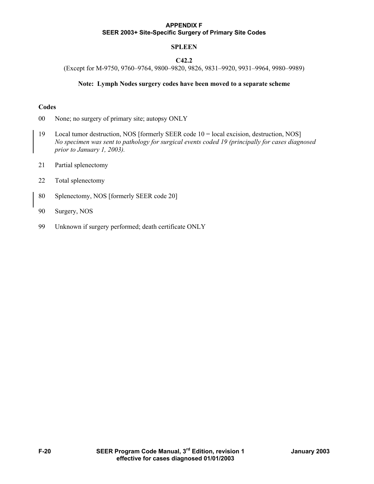# **SPLEEN**

# **C42.2**

(Except for M-9750, 9760–9764, 9800–9820, 9826, 9831–9920, 9931–9964, 9980–9989)

#### **Note: Lymph Nodes surgery codes have been moved to a separate scheme**

## **Codes**

00 None; no surgery of primary site; autopsy ONLY

- 19 Local tumor destruction, NOS [formerly SEER code 10 = local excision, destruction, NOS] *No specimen was sent to pathology for surgical events coded 19 (principally for cases diagnosed prior to January 1, 2003).*
- 21 Partial splenectomy
- 22 Total splenectomy
- 80 Splenectomy, NOS [formerly SEER code 20]
- 90 Surgery, NOS
- 99 Unknown if surgery performed; death certificate ONLY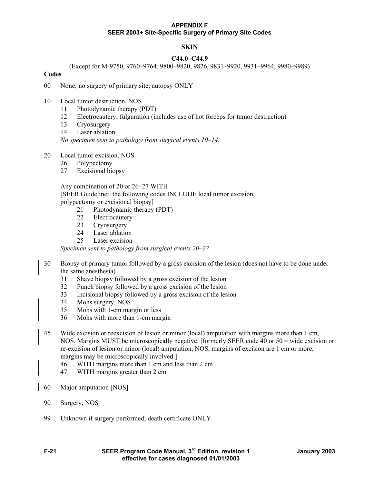## **SKIN**

## **C44.0–C44.9**

(Except for M-9750, 9760–9764, 9800–9820, 9826, 9831–9920, 9931–9964, 9980–9989)

## **Codes**

- 00 None; no surgery of primary site; autopsy ONLY
- 10 Local tumor destruction, NOS
	- 11 Photodynamic therapy (PDT)
	- 12 Electrocautery; fulguration (includes use of hot forceps for tumor destruction)
	- 13 Cryosurgery
	- 14 Laser ablation

*No specimen sent to pathology from surgical events 10–14.* 

- 20 Local tumor excision, NOS
	- 26 Polypectomy
	- 27 Excisional biopsy

 Any combination of 20 or 26–27 WITH [SEER Guideline: the following codes INCLUDE local tumor excision, polypectomy or excisional biopsy]

- 21 Photodynamic therapy (PDT)
- 22 Electrocautery
- 23 Cryosurgery
- 24 Laser ablation
- 25 Laser excision

*Specimen sent to pathology from surgical events 20–27.* 

- 30 Biopsy of primary tumor followed by a gross excision of the lesion (does not have to be done under the same anesthesia)
	- 31 Shave biopsy followed by a gross excision of the lesion
	- 32 Punch biopsy followed by a gross excision of the lesion
	- 33 Incisional biopsy followed by a gross excision of the lesion
	- 34 Mohs surgery, NOS
	- 35 Mohs with 1-cm margin or less
	- 36 Mohs with more than 1-cm margin
- 45 Wide excision or reexcision of lesion or minor (local) amputation with margins more than 1 cm, NOS. Margins MUST be microscopically negative. [formerly SEER code 40 or 50 = wide excision or re-excision of lesion or minor (local) amputation, NOS, margins of excision are 1 cm or more, margins may be microscopically involved.]
	- 46 WITH margins more than 1 cm and less than 2 cm
	- 47 WITH margins greater than 2 cm
- 60 Major amputation [NOS]
- 90 Surgery, NOS
- 99 Unknown if surgery performed; death certificate ONLY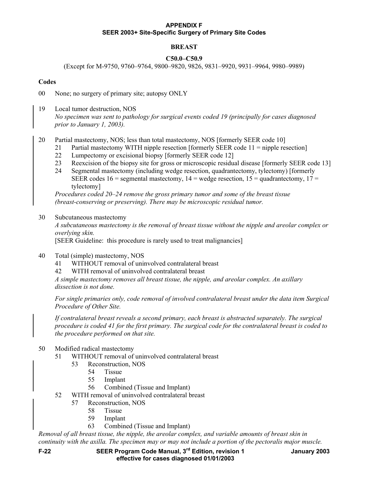# **BREAST**

## **C50.0–C50.9**

(Except for M-9750, 9760–9764, 9800–9820, 9826, 9831–9920, 9931–9964, 9980–9989)

## **Codes**

00 None; no surgery of primary site; autopsy ONLY

- 19 Local tumor destruction, NOS *No specimen was sent to pathology for surgical events coded 19 (principally for cases diagnosed prior to January 1, 2003).*
- 20 Partial mastectomy, NOS; less than total mastectomy, NOS [formerly SEER code 10]
	- 21 Partial mastectomy WITH nipple resection [formerly SEER code 11 = nipple resection]
	- 22 Lumpectomy or excisional biopsy [formerly SEER code 12]
	- 23 Reexcision of the biopsy site for gross or microscopic residual disease [formerly SEER code 13]
	- 24 Segmental mastectomy (including wedge resection, quadrantectomy, tylectomy) [formerly SEER codes  $16$  = segmental mastectomy,  $14$  = wedge resection,  $15$  = quadrantectomy,  $17$  = tylectomy]

*Procedures coded 20–24 remove the gross primary tumor and some of the breast tissue (breast-conserving or preserving). There may be microscopic residual tumor.* 

## 30 Subcutaneous mastectomy

*A subcutaneous mastectomy is the removal of breast tissue without the nipple and areolar complex or overlying skin.* 

[SEER Guideline: this procedure is rarely used to treat malignancies]

- 40 Total (simple) mastectomy, NOS
	- 41 WITHOUT removal of uninvolved contralateral breast
	- 42 WITH removal of uninvolved contralateral breast

*A simple mastectomy removes all breast tissue, the nipple, and areolar complex. An axillary dissection is not done.* 

*For single primaries only, code removal of involved contralateral breast under the data item Surgical Procedure of Other Site.* 

*If contralateral breast reveals a second primary, each breast is abstracted separately. The surgical procedure is coded 41 for the first primary. The surgical code for the contralateral breast is coded to the procedure performed on that site.* 

## 50 Modified radical mastectomy

- 51 WITHOUT removal of uninvolved contralateral breast
	- 53 Reconstruction, NOS
		- 54 Tissue
		- 55 Implant
		- 56 Combined (Tissue and Implant)
- 52 WITH removal of uninvolved contralateral breast
	- 57 Reconstruction, NOS
		- 58 Tissue
			- 59 Implant
			- 63 Combined (Tissue and Implant)

*Removal of all breast tissue, the nipple, the areolar complex, and variable amounts of breast skin in continuity with the axilla. The specimen may or may not include a portion of the pectoralis major muscle.* 

**F-22 SEER Program Code Manual, 3rd Edition, revision 1 January 2003 effective for cases diagnosed 01/01/2003**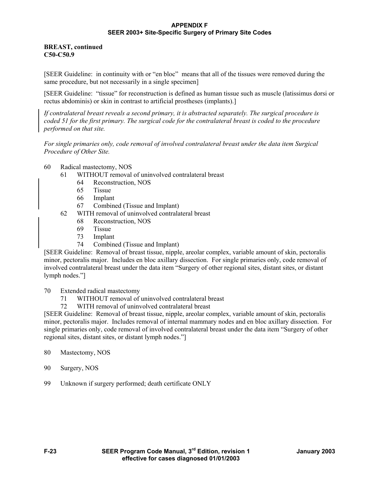## **BREAST, continued C50-C50.9**

[SEER Guideline: in continuity with or "en bloc" means that all of the tissues were removed during the same procedure, but not necessarily in a single specimen]

[SEER Guideline: "tissue" for reconstruction is defined as human tissue such as muscle (latissimus dorsi or rectus abdominis) or skin in contrast to artificial prostheses (implants).]

*If contralateral breast reveals a second primary, it is abstracted separately. The surgical procedure is coded 51 for the first primary. The surgical code for the contralateral breast is coded to the procedure performed on that site.* 

*For single primaries only, code removal of involved contralateral breast under the data item Surgical Procedure of Other Site.* 

- 60 Radical mastectomy, NOS
	- 61 WITHOUT removal of uninvolved contralateral breast
		- 64 Reconstruction, NOS
		- 65 Tissue
		- 66 Implant
		- 67 Combined (Tissue and Implant)
	- 62 WITH removal of uninvolved contralateral breast
		- 68 Reconstruction, NOS
		- 69 Tissue
		- 73 Implant
		- 74 Combined (Tissue and Implant)

[SEER Guideline: Removal of breast tissue, nipple, areolar complex, variable amount of skin, pectoralis minor, pectoralis major. Includes en bloc axillary dissection. For single primaries only, code removal of involved contralateral breast under the data item "Surgery of other regional sites, distant sites, or distant lymph nodes."]

70 Extended radical mastectomy

- 71 WITHOUT removal of uninvolved contralateral breast
- 72 WITH removal of uninvolved contralateral breast

[SEER Guideline: Removal of breast tissue, nipple, areolar complex, variable amount of skin, pectoralis minor, pectoralis major. Includes removal of internal mammary nodes and en bloc axillary dissection. For single primaries only, code removal of involved contralateral breast under the data item "Surgery of other regional sites, distant sites, or distant lymph nodes."]

- 80 Mastectomy, NOS
- 90 Surgery, NOS
- 99 Unknown if surgery performed; death certificate ONLY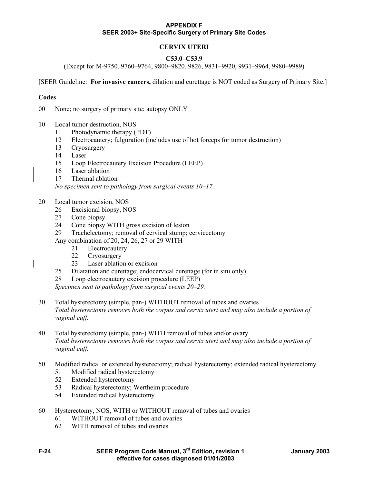# **CERVIX UTERI**

## **C53.0–C53.9**

(Except for M-9750, 9760–9764, 9800–9820, 9826, 9831–9920, 9931–9964, 9980–9989)

[SEER Guideline: **For invasive cancers,** dilation and curettage is NOT coded as Surgery of Primary Site.]

## **Codes**

00 None; no surgery of primary site; autopsy ONLY

- 10 Local tumor destruction, NOS
	- 11 Photodynamic therapy (PDT)
	- 12 Electrocautery; fulguration (includes use of hot forceps for tumor destruction)
	- 13 Cryosurgery
	- 14 Laser
	- 15 Loop Electrocautery Excision Procedure (LEEP)
	- 16 Laser ablation
	- 17 Thermal ablation

*No specimen sent to pathology from surgical events 10–17.* 

- 20 Local tumor excision, NOS
	- 26 Excisional biopsy, NOS
	- 27 Cone biopsy
	- 24 Cone biopsy WITH gross excision of lesion
	- 29 Trachelectomy; removal of cervical stump; cervicectomy

Any combination of 20, 24, 26, 27 or 29 WITH

- 21 Electrocautery
- 22 Cryosurgery
- 23 Laser ablation or excision
- 25 Dilatation and curettage; endocervical curettage (for in situ only)
- 28 Loop electrocautery excision procedure (LEEP)

*Specimen sent to pathology from surgical events 20–29.* 

- 30 Total hysterectomy (simple, pan-) WITHOUT removal of tubes and ovaries *Total hysterectomy removes both the corpus and cervix uteri and may also include a portion of vaginal cuff.*
- 40 Total hysterectomy (simple, pan-) WITH removal of tubes and/or ovary *Total hysterectomy removes both the corpus and cervix uteri and may also include a portion of vaginal cuff.*
- 50 Modified radical or extended hysterectomy; radical hysterectomy; extended radical hysterectomy
	- 51 Modified radical hysterectomy
	- 52 Extended hysterectomy
	- 53 Radical hysterectomy; Wertheim procedure
	- 54 Extended radical hysterectomy
- 60 Hysterectomy, NOS, WITH or WITHOUT removal of tubes and ovaries
	- 61 WITHOUT removal of tubes and ovaries
	- 62 WITH removal of tubes and ovaries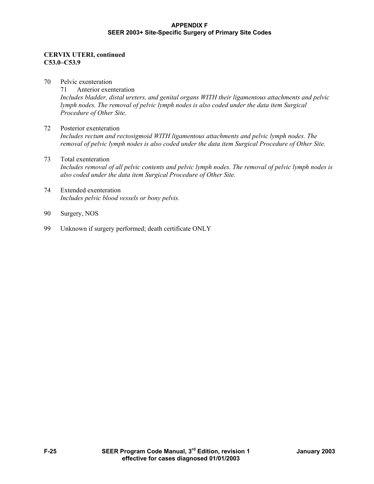## **CERVIX UTERI, continued C53.0–C53.9**

- 70 Pelvic exenteration 71 Anterior exenteration *Includes bladder, distal ureters, and genital organs WITH their ligamentous attachments and pelvic lymph nodes. The removal of pelvic lymph nodes is also coded under the data item Surgical Procedure of Other Site.*
- 72 Posterior exenteration *Includes rectum and rectosigmoid WITH ligamentous attachments and pelvic lymph nodes. The removal of pelvic lymph nodes is also coded under the data item Surgical Procedure of Other Site.*
- 73 Total exenteration *Includes removal of all pelvic contents and pelvic lymph nodes. The removal of pelvic lymph nodes is also coded under the data item Surgical Procedure of Other Site.*
- 74 Extended exenteration *Includes pelvic blood vessels or bony pelvis.*
- 90 Surgery, NOS
- 99 Unknown if surgery performed; death certificate ONLY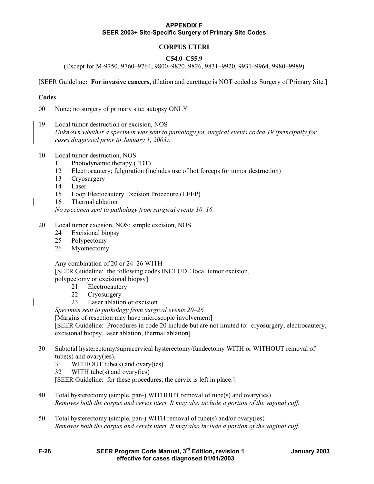# **CORPUS UTERI**

## **C54.0–C55.9**

(Except for M-9750, 9760–9764, 9800–9820, 9826, 9831–9920, 9931–9964, 9980–9989)

#### [SEER Guideline**: For invasive cancers,** dilation and curettage is NOT coded as Surgery of Primary Site.]

## **Codes**

00 None; no surgery of primary site; autopsy ONLY

- 19 Local tumor destruction or excision, NOS *Unknown whether a specimen was sent to pathology for surgical events coded 19 (principally for cases diagnosed prior to January 1, 2003).*
- 10 Local tumor destruction, NOS
	- 11 Photodynamic therapy (PDT)
	- 12 Electrocautery; fulguration (includes use of hot forceps for tumor destruction)
	- 13 Cryosurgery
	- 14 Laser
	- 15 Loop Electocautery Excision Procedure (LEEP)
	- 16 Thermal ablation

*No specimen sent to pathology from surgical events 10–16.* 

- 20 Local tumor excision, NOS; simple excision, NOS
	- 24 Excisional biopsy
	- 25 Polypectomy
	- 26 Myomectomy

 Any combination of 20 or 24–26 WITH [SEER Guideline: the following codes INCLUDE local tumor excision, polypectomy or excisional biopsy]

- 21 Electrocautery
- 22 Cryosurgery
- 23 Laser ablation or excision

*Specimen sent to pathology from surgical events 20–26.* 

[Margins of resection may have microscopic involvement]

[SEER Guideline: Procedures in code 20 include but are not limited to: cryosurgery, electrocautery, excisional biopsy, laser ablation, thermal ablation]

- 30 Subtotal hysterectomy/supracervical hysterectomy/fundectomy WITH or WITHOUT removal of tube(s) and ovary(ies).
	- 31 WITHOUT tube(s) and ovary(ies)
	- 32 WITH tube(s) and ovary(ies)

[SEER Guideline: for these procedures, the cervix is left in place.]

- 40 Total hysterectomy (simple, pan-) WITHOUT removal of tube(s) and ovary(ies) *Removes both the corpus and cervix uteri. It may also include a portion of the vaginal cuff.*
- 50 Total hysterectomy (simple, pan-) WITH removal of tube(s) and/or ovary(ies) *Removes both the corpus and cervix uteri. It may also include a portion of the vaginal cuff.*
- **F-26 SEER Program Code Manual, 3rd Edition, revision 1 January 2003 effective for cases diagnosed 01/01/2003**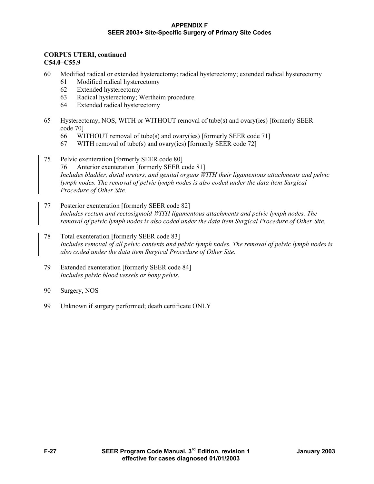## **CORPUS UTERI, continued C54.0–C55.9**

- 60 Modified radical or extended hysterectomy; radical hysterectomy; extended radical hysterectomy
	- 61 Modified radical hysterectomy
	- 62 Extended hysterectomy
	- 63 Radical hysterectomy; Wertheim procedure
	- 64 Extended radical hysterectomy
- 65 Hysterectomy, NOS, WITH or WITHOUT removal of tube(s) and ovary(ies) [formerly SEER code 70]
	- 66 WITHOUT removal of tube(s) and ovary(ies) [formerly SEER code 71]
	- 67 WITH removal of tube(s) and ovary(ies) [formerly SEER code 72]
- 75 Pelvic exenteration [formerly SEER code 80] 76 Anterior exenteration [formerly SEER code 81] *Includes bladder, distal ureters, and genital organs WITH their ligamentous attachments and pelvic lymph nodes. The removal of pelvic lymph nodes is also coded under the data item Surgical Procedure of Other Site.*
- 77 Posterior exenteration [formerly SEER code 82] *Includes rectum and rectosigmoid WITH ligamentous attachments and pelvic lymph nodes. The removal of pelvic lymph nodes is also coded under the data item Surgical Procedure of Other Site.*
- 78 Total exenteration [formerly SEER code 83] *Includes removal of all pelvic contents and pelvic lymph nodes. The removal of pelvic lymph nodes is also coded under the data item Surgical Procedure of Other Site.*
- 79 Extended exenteration [formerly SEER code 84] *Includes pelvic blood vessels or bony pelvis.*
- 90 Surgery, NOS
- 99 Unknown if surgery performed; death certificate ONLY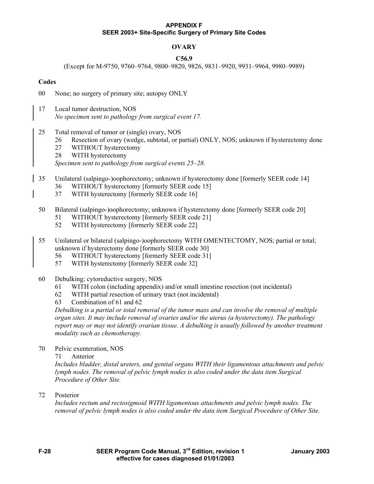# **OVARY**

## **C56.9**

(Except for M-9750, 9760–9764, 9800–9820, 9826, 9831–9920, 9931–9964, 9980–9989)

## **Codes**

- 00 None; no surgery of primary site; autopsy ONLY
- 17 Local tumor destruction, NOS *No specimen sent to pathology from surgical event 17.*
- 25 Total removal of tumor or (single) ovary, NOS
	- 26 Resection of ovary (wedge, subtotal, or partial) ONLY, NOS; unknown if hysterectomy done
	- 27 WITHOUT hysterectomy
	- 28 WITH hysterectomy

*Specimen sent to pathology from surgical events 25–28.* 

- 35 Unilateral (salpingo-)oophorectomy; unknown if hysterectomy done [formerly SEER code 14]
	- 36 WITHOUT hysterectomy [formerly SEER code 15]
	- 37 WITH hysterectomy [formerly SEER code 16]
- 50 Bilateral (salpingo-)oophorectomy; unknown if hysterectomy done [formerly SEER code 20]
	- 51 WITHOUT hysterectomy [formerly SEER code 21]
	- 52 WITH hysterectomy [formerly SEER code 22]
- 55 Unilateral or bilateral (salpingo-)oophorectomy WITH OMENTECTOMY, NOS; partial or total; unknown if hysterectomy done [formerly SEER code 30]
	- 56 WITHOUT hysterectomy [formerly SEER code 31]
		- 57 WITH hysterectomy [formerly SEER code 32]
- 60 Debulking; cytoreductive surgery, NOS
	- 61 WITH colon (including appendix) and/or small intestine resection (not incidental)
	- 62 WITH partial resection of urinary tract (not incidental)
	- 63 Combination of 61 and 62

*Debulking is a partial or total removal of the tumor mass and can involve the removal of multiple organ sites. It may include removal of ovaries and/or the uterus (a hysterectomy). The pathology report may or may not identify ovarian tissue. A debulking is usually followed by another treatment modality such as chemotherapy.* 

70 Pelvic exenteration, NOS

71 Anterior

*Includes bladder, distal ureters, and genital organs WITH their ligamentous attachments and pelvic lymph nodes. The removal of pelvic lymph nodes is also coded under the data item Surgical Procedure of Other Site.* 

72 Posterior

*Includes rectum and rectosigmoid WITH ligamentous attachments and pelvic lymph nodes. The removal of pelvic lymph nodes is also coded under the data item Surgical Procedure of Other Site.*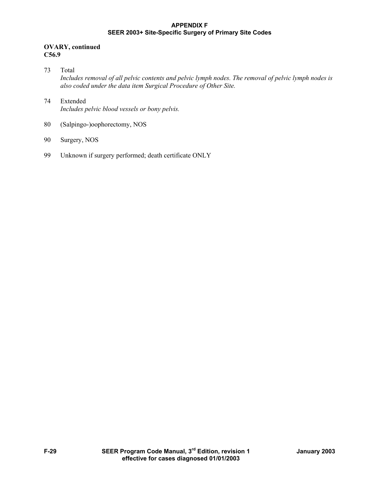## **OVARY, continued C56.9**

- 73 Total *Includes removal of all pelvic contents and pelvic lymph nodes. The removal of pelvic lymph nodes is also coded under the data item Surgical Procedure of Other Site.*
- 74 Extended *Includes pelvic blood vessels or bony pelvis.*
- 80 (Salpingo-)oophorectomy, NOS
- 90 Surgery, NOS
- 99 Unknown if surgery performed; death certificate ONLY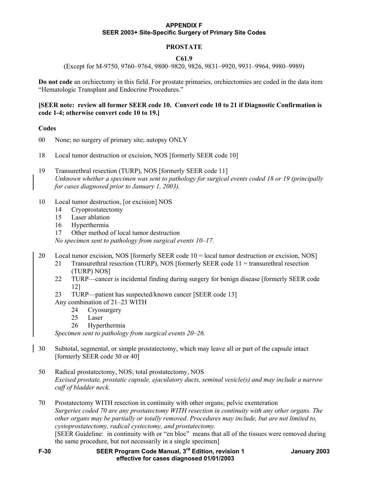# **PROSTATE**

## **C61.9**

(Except for M-9750, 9760–9764, 9800–9820, 9826, 9831–9920, 9931–9964, 9980–9989)

**Do not code** an orchiectomy in this field. For prostate primaries, orchiectomies are coded in the data item "Hematologic Transplant and Endocrine Procedures."

## **[SEER note: review all former SEER code 10. Convert code 10 to 21 if Diagnostic Confirmation is code 1-4; otherwise convert code 10 to 19.]**

## **Codes**

- 00 None; no surgery of primary site; autopsy ONLY
- 18 Local tumor destruction or excision, NOS [formerly SEER code 10]

19 Transurethral resection (TURP), NOS [formerly SEER code 11] *Unknown whether a specimen was sent to pathology for surgical events coded 18 or 19 (principally for cases diagnosed prior to January 1, 2003).* 

- 10 Local tumor destruction, [or excision] NOS
	- 14 Cryoprostatectomy
	- 15 Laser ablation
	- 16 Hyperthermia
	- 17 Other method of local tumor destruction

*No specimen sent to pathology from surgical events 10–17.* 

- 20 Local tumor excision, NOS [formerly SEER code 10 = local tumor destruction or excision, NOS]
	- 21 Transurethral resection (TURP), NOS [formerly SEER code 11 = transurethral resection (TURP) NOS]
	- 22 TURP—cancer is incidental finding during surgery for benign disease [formerly SEER code 12]
	- 23 TURP—patient has suspected/known cancer [SEER code 13]
	- Any combination of 21–23 WITH
		- 24 Cryosurgery
		- 25 Laser
		- 26 Hyperthermia

*Specimen sent to pathology from surgical events 20–26.* 

- 30 Subtotal, segmental, or simple prostatectomy, which may leave all or part of the capsule intact [formerly SEER code 30 or 40]
- 50 Radical prostatectomy, NOS; total prostatectomy, NOS *Excised prostate, prostatic capsule, ejaculatory ducts, seminal vesicle(s) and may include a narrow cuff of bladder neck.*

70 Prostatectomy WITH resection in continuity with other organs; pelvic exenteration *Surgeries coded 70 are any prostatectomy WITH resection in continuity with any other organs. The other organs may be partially or totally removed. Procedures may include, but are not limited to, cystoprostatectomy, radical cystectomy, and prostatectomy.*  [SEER Guideline: in continuity with or "en bloc" means that all of the tissues were removed during

the same procedure, but not necessarily in a single specimen]

**F-30 SEER Program Code Manual, 3rd Edition, revision 1 January 2003 effective for cases diagnosed 01/01/2003**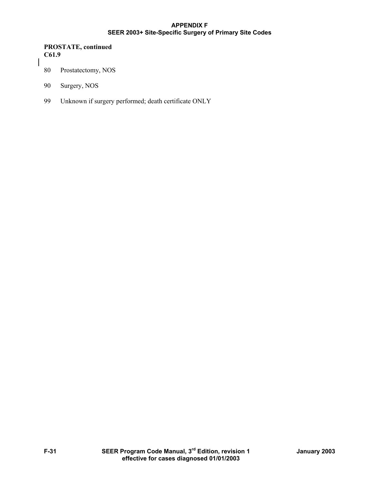#### **PROSTATE, continued C61.9**

- 80 Prostatectomy, NOS
- 90 Surgery, NOS
- 99 Unknown if surgery performed; death certificate ONLY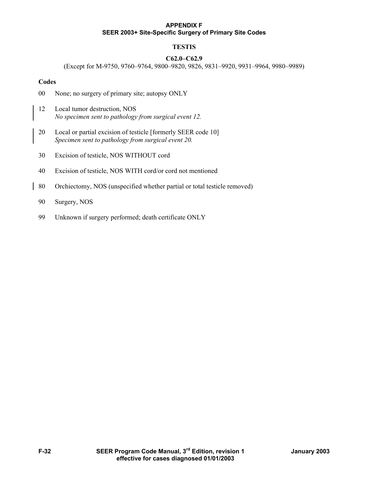# **TESTIS**

# **C62.0–C62.9**

(Except for M-9750, 9760–9764, 9800–9820, 9826, 9831–9920, 9931–9964, 9980–9989)

## **Codes**

- 00 None; no surgery of primary site; autopsy ONLY
- 12 Local tumor destruction, NOS *No specimen sent to pathology from surgical event 12.*
- 20 Local or partial excision of testicle [formerly SEER code 10] *Specimen sent to pathology from surgical event 20.*
- 30 Excision of testicle, NOS WITHOUT cord
- 40 Excision of testicle, NOS WITH cord/or cord not mentioned
- 80 Orchiectomy, NOS (unspecified whether partial or total testicle removed)
- 90 Surgery, NOS
- 99 Unknown if surgery performed; death certificate ONLY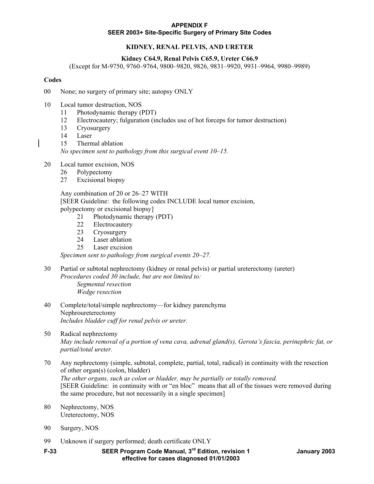# **KIDNEY, RENAL PELVIS, AND URETER**

## **Kidney C64.9, Renal Pelvis C65.9, Ureter C66.9**

(Except for M-9750, 9760–9764, 9800–9820, 9826, 9831–9920, 9931–9964, 9980–9989)

#### **Codes**

- 00 None; no surgery of primary site; autopsy ONLY
- 10 Local tumor destruction, NOS
	- 11 Photodynamic therapy (PDT)
	- 12 Electrocautery; fulguration (includes use of hot forceps for tumor destruction)
	- 13 Cryosurgery
	- 14 Laser
	- 15 Thermal ablation

*No specimen sent to pathology from this surgical event 10–15.* 

- 20 Local tumor excision, NOS
	- 26 Polypectomy
	- 27 Excisional biopsy

 Any combination of 20 or 26–27 WITH [SEER Guideline: the following codes INCLUDE local tumor excision, polypectomy or excisional biopsy]

- 21 Photodynamic therapy (PDT)
- 22 Electrocautery
- 23 Cryosurgery
- 24 Laser ablation
- 25 Laser excision

*Specimen sent to pathology from surgical events 20–27.* 

- 30 Partial or subtotal nephrectomy (kidney or renal pelvis) or partial ureterectomy (ureter) *Procedures coded 30 include, but are not limited to: Segmental resection Wedge resection*
- 40 Complete/total/simple nephrectomy—for kidney parenchyma Nephroureterectomy *Includes bladder cuff for renal pelvis or ureter.*
- 50 Radical nephrectomy *May include removal of a portion of vena cava, adrenal gland(s), Gerota's fascia, perinephric fat, or partial/total ureter.*
- 70 Any nephrectomy (simple, subtotal, complete, partial, total, radical) in continuity with the resection of other organ(s) (colon, bladder) *The other organs, such as colon or bladder, may be partially or totally removed.*  [SEER Guideline: in continuity with or "en bloc" means that all of the tissues were removed during the same procedure, but not necessarily in a single specimen]
- 80 Nephrectomy, NOS Ureterectomy, NOS
- 90 Surgery, NOS
- 99 Unknown if surgery performed; death certificate ONLY
- **F-33 SEER Program Code Manual, 3rd Edition, revision 1 January 2003 effective for cases diagnosed 01/01/2003**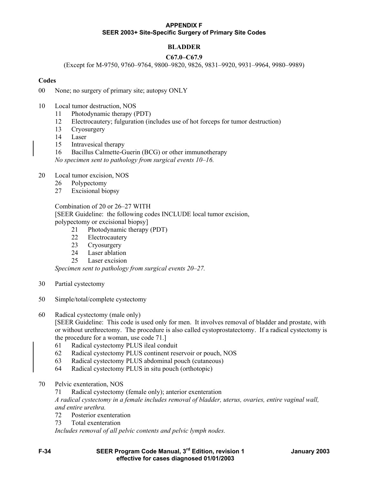# **BLADDER**

## **C67.0–C67.9**

(Except for M-9750, 9760–9764, 9800–9820, 9826, 9831–9920, 9931–9964, 9980–9989)

## **Codes**

- 00 None; no surgery of primary site; autopsy ONLY
- 10 Local tumor destruction, NOS
	- 11 Photodynamic therapy (PDT)
	- 12 Electrocautery; fulguration (includes use of hot forceps for tumor destruction)
	- 13 Cryosurgery
	- 14 Laser
	- 15 Intravesical therapy
	- 16 Bacillus Calmette-Guerin (BCG) or other immunotherapy

*No specimen sent to pathology from surgical events 10–16.* 

- 20 Local tumor excision, NOS
	- 26 Polypectomy
	- 27 Excisional biopsy

 Combination of 20 or 26–27 WITH [SEER Guideline: the following codes INCLUDE local tumor excision,

polypectomy or excisional biopsy]

- 21 Photodynamic therapy (PDT)
- 22 Electrocautery
- 23 Cryosurgery
- 24 Laser ablation
- 25 Laser excision

*Specimen sent to pathology from surgical events 20–27.* 

- 30 Partial cystectomy
- 50 Simple/total/complete cystectomy
- 60 Radical cystectomy (male only)

[SEER Guideline: This code is used only for men. It involves removal of bladder and prostate, with or without urethrectomy. The procedure is also called cystoprostatectomy. If a radical cystectomy is the procedure for a woman, use code 71.]

- 61 Radical cystectomy PLUS ileal conduit
- 62 Radical cystectomy PLUS continent reservoir or pouch, NOS
- 63 Radical cystectomy PLUS abdominal pouch (cutaneous)
- 64 Radical cystectomy PLUS in situ pouch (orthotopic)
- 70 Pelvic exenteration, NOS

71 Radical cystectomy (female only); anterior exenteration

*A radical cystectomy in a female includes removal of bladder, uterus, ovaries, entire vaginal wall, and entire urethra.* 

- 72 Posterior exenteration
- 73 Total exenteration

*Includes removal of all pelvic contents and pelvic lymph nodes.* 

**F-34 SEER Program Code Manual, 3rd Edition, revision 1 January 2003 effective for cases diagnosed 01/01/2003**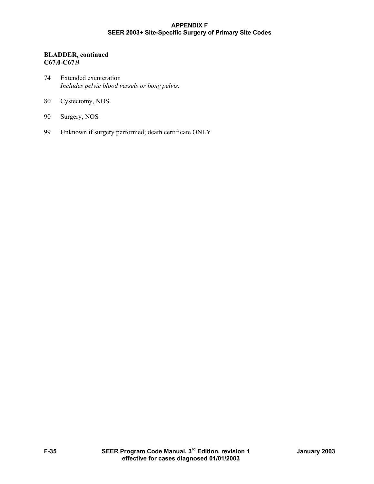## **BLADDER, continued C67.0-C67.9**

- 74 Extended exenteration *Includes pelvic blood vessels or bony pelvis.*
- 80 Cystectomy, NOS
- 90 Surgery, NOS
- 99 Unknown if surgery performed; death certificate ONLY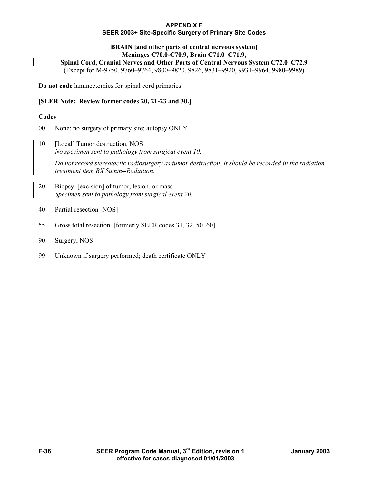#### **APPENDIX F**

#### **SEER 2003+ Site-Specific Surgery of Primary Site Codes**

#### **BRAIN [and other parts of central nervous system] Meninges C70.0-C70.9, Brain C71.0–C71.9,**

**Spinal Cord, Cranial Nerves and Other Parts of Central Nervous System C72.0–C72.9** 

(Except for M-9750, 9760–9764, 9800–9820, 9826, 9831–9920, 9931–9964, 9980–9989)

**Do not code** laminectomies for spinal cord primaries.

## **[SEER Note: Review former codes 20, 21-23 and 30.]**

## **Codes**

- 00 None; no surgery of primary site; autopsy ONLY
- 10 [Local] Tumor destruction, NOS *No specimen sent to pathology from surgical event 10.*

*Do not record stereotactic radiosurgery as tumor destruction. It should be recorded in the radiation treatment item RX Summ--Radiation.* 

- 20 Biopsy [excision] of tumor, lesion, or mass *Specimen sent to pathology from surgical event 20.*
- 40 Partial resection [NOS]
- 55 Gross total resection [formerly SEER codes 31, 32, 50, 60]
- 90 Surgery, NOS
- 99 Unknown if surgery performed; death certificate ONLY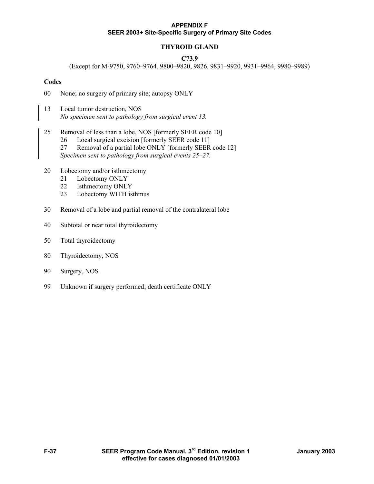## **THYROID GLAND**

#### **C73.9**

(Except for M-9750, 9760–9764, 9800–9820, 9826, 9831–9920, 9931–9964, 9980–9989)

#### **Codes**

- 00 None; no surgery of primary site; autopsy ONLY
- 13 Local tumor destruction, NOS *No specimen sent to pathology from surgical event 13.*
- 25 Removal of less than a lobe, NOS [formerly SEER code 10]
	- 26 Local surgical excision [formerly SEER code 11]
	- 27 Removal of a partial lobe ONLY [formerly SEER code 12] *Specimen sent to pathology from surgical events 25–27.*
- 20 Lobectomy and/or isthmectomy
	- 21 Lobectomy ONLY
	- 22 Isthmectomy ONLY
	- 23 Lobectomy WITH isthmus
- 30 Removal of a lobe and partial removal of the contralateral lobe
- 40 Subtotal or near total thyroidectomy
- 50 Total thyroidectomy
- 80 Thyroidectomy, NOS
- 90 Surgery, NOS
- 99 Unknown if surgery performed; death certificate ONLY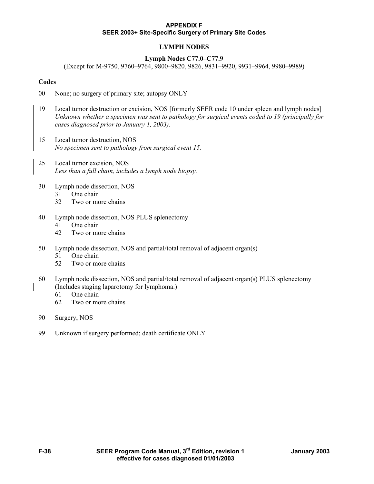# **LYMPH NODES**

## **Lymph Nodes C77.0–C77.9**

(Except for M-9750, 9760–9764, 9800–9820, 9826, 9831–9920, 9931–9964, 9980–9989)

## **Codes**

- 00 None; no surgery of primary site; autopsy ONLY
- 19 Local tumor destruction or excision, NOS [formerly SEER code 10 under spleen and lymph nodes] *Unknown whether a specimen was sent to pathology for surgical events coded to 19 (principally for cases diagnosed prior to January 1, 2003).*
- 15 Local tumor destruction, NOS *No specimen sent to pathology from surgical event 15.*
- 25 Local tumor excision, NOS *Less than a full chain, includes a lymph node biopsy.*
- 30 Lymph node dissection, NOS
	- 31 One chain
	- 32 Two or more chains
- 40 Lymph node dissection, NOS PLUS splenectomy
	- 41 One chain
	- 42 Two or more chains
- 50 Lymph node dissection, NOS and partial/total removal of adjacent organ(s)
	- 51 One chain
	- 52 Two or more chains
- 60 Lymph node dissection, NOS and partial/total removal of adjacent organ(s) PLUS splenectomy (Includes staging laparotomy for lymphoma.)
	- 61 One chain
	- 62 Two or more chains
- 90 Surgery, NOS
- 99 Unknown if surgery performed; death certificate ONLY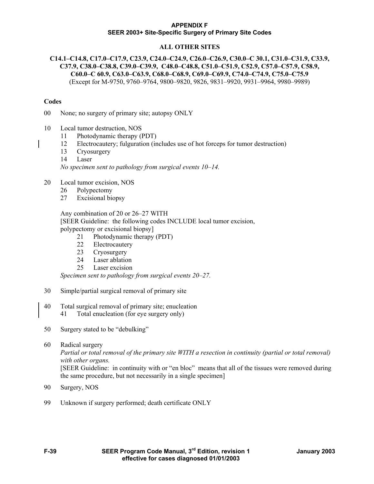# **ALL OTHER SITES**

## **C14.1–C14.8, C17.0–C17.9, C23.9, C24.0–C24.9, C26.0–C26.9, C30.0–C 30.1, C31.0–C31.9, C33.9, C37.9, C38.0–C38.8, C39.0–C39.9, C48.0–C48.8, C51.0–C51.9, C52.9, C57.0–C57.9, C58.9, C60.0–C 60.9, C63.0–C63.9, C68.0–C68.9, C69.0–C69.9, C74.0–C74.9, C75.0–C75.9**  (Except for M-9750, 9760–9764, 9800–9820, 9826, 9831–9920, 9931–9964, 9980–9989)

#### **Codes**

00 None; no surgery of primary site; autopsy ONLY

- 10 Local tumor destruction, NOS
	- 11 Photodynamic therapy (PDT)
	- 12 Electrocautery; fulguration (includes use of hot forceps for tumor destruction)
	- 13 Cryosurgery
	- 14 Laser

*No specimen sent to pathology from surgical events 10–14.* 

- 20 Local tumor excision, NOS
	- 26 Polypectomy
	- 27 Excisional biopsy

 Any combination of 20 or 26–27 WITH [SEER Guideline: the following codes INCLUDE local tumor excision, polypectomy or excisional biopsy]

- 21 Photodynamic therapy (PDT)
- 22 Electrocautery
- 23 Cryosurgery
- 24 Laser ablation
- 25 Laser excision

*Specimen sent to pathology from surgical events 20–27.* 

- 30 Simple/partial surgical removal of primary site
- 40 Total surgical removal of primary site; enucleation 41 Total enucleation (for eye surgery only)
- 50 Surgery stated to be "debulking"
- 60 Radical surgery

*Partial or total removal of the primary site WITH a resection in continuity (partial or total removal) with other organs.* 

 [SEER Guideline: in continuity with or "en bloc" means that all of the tissues were removed during the same procedure, but not necessarily in a single specimen]

- 90 Surgery, NOS
- 99 Unknown if surgery performed; death certificate ONLY